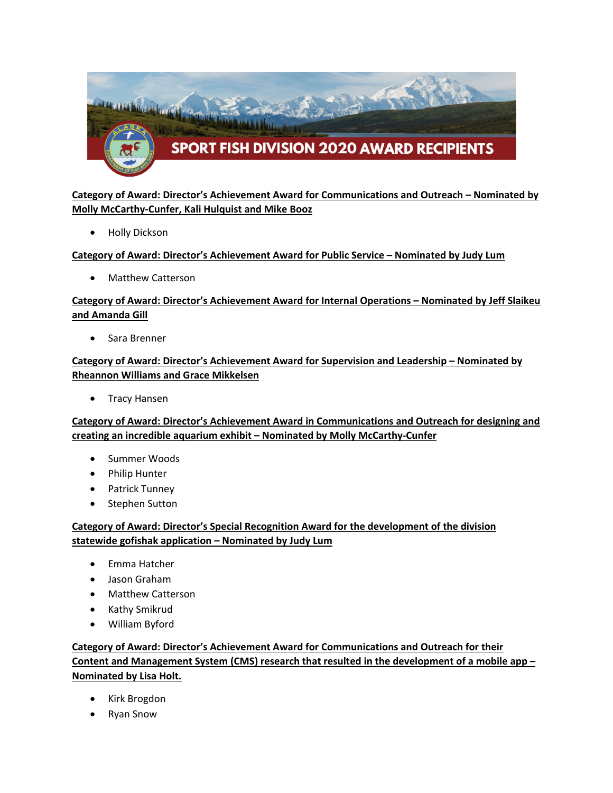

# **Category of Award: Director's Achievement Award for Communications and Outreach – Nominated by Molly McCarthy-Cunfer, Kali Hulquist and Mike Booz**

• Holly Dickson

### **Category of Award: Director's Achievement Award for Public Service – Nominated by Judy Lum**

• Matthew Catterson

# **Category of Award: Director's Achievement Award for Internal Operations – Nominated by Jeff Slaikeu and Amanda Gill**

• Sara Brenner

## **Category of Award: Director's Achievement Award for Supervision and Leadership – Nominated by Rheannon Williams and Grace Mikkelsen**

• Tracy Hansen

## **Category of Award: Director's Achievement Award in Communications and Outreach for designing and creating an incredible aquarium exhibit – Nominated by Molly McCarthy-Cunfer**

- Summer Woods
- Philip Hunter
- Patrick Tunney
- Stephen Sutton

## **Category of Award: Director's Special Recognition Award for the development of the division statewide gofishak application – Nominated by Judy Lum**

- Emma Hatcher
- Jason Graham
- Matthew Catterson
- Kathy Smikrud
- William Byford

# **Category of Award: Director's Achievement Award for Communications and Outreach for their Content and Management System (CMS) research that resulted in the development of a mobile app – Nominated by Lisa Holt.**

- Kirk Brogdon
- Ryan Snow